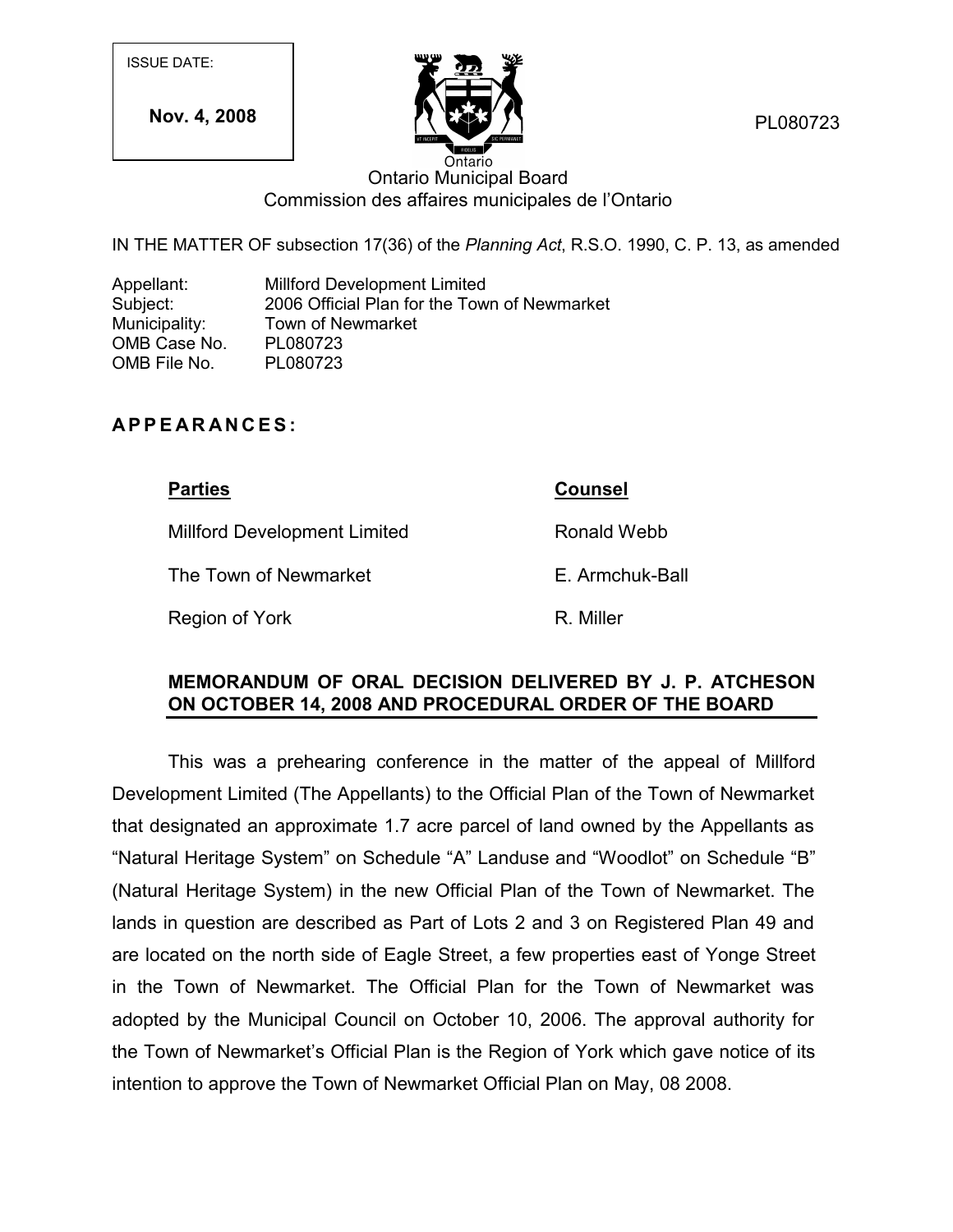ISSUE DATE:

**Nov. 4, 2008**



PL080723

## Ontario Municipal Board Commission des affaires municipales de l'Ontario

IN THE MATTER OF subsection 17(36) of the *Planning Act*, R.S.O. 1990, C. P. 13, as amended

Appellant: Millford Development Limited Subject: 2006 Official Plan for the Town of Newmarket Municipality: Town of Newmarket OMB Case No. PL080723 OMB File No. PL080723 Municipality: Town of Newmarket<br>
OMB Case No. PL080723<br>
OMB File No. PL080723<br> **A P P E A R A N C E S** :

Millford Development Limited

The Town of Newmarket

Region of York

**Parties Counsel**

Ronald Webb

E. Armchuk-Ball

R. Miller

## **MEMORANDUM OF ORAL DECISION DELIVERED BY J. P. ATCHESON ON OCTOBER 14, 2008 AND PROCEDURAL ORDER OF THE BOARD**

This was a prehearing conference in the matter of the appeal of Millford Development Limited (The Appellants) to the Official Plan of the Town of Newmarket that designated an approximate 1.7 acre parcel of land owned by the Appellants as "Natural Heritage System" on Schedule "A" Landuse and "Woodlot" on Schedule "B" (Natural Heritage System) in the new Official Plan of the Town of Newmarket. The lands in question are described as Part of Lots 2 and 3 on Registered Plan 49 and are located on the north side of Eagle Street, a few properties east of Yonge Street in the Town of Newmarket. The Official Plan for the Town of Newmarket was adopted by the Municipal Council on October 10, 2006. The approval authority for the Town of Newmarket's Official Plan is the Region of York which gave notice of its intention to approve the Town of Newmarket Official Plan on May, 08 2008.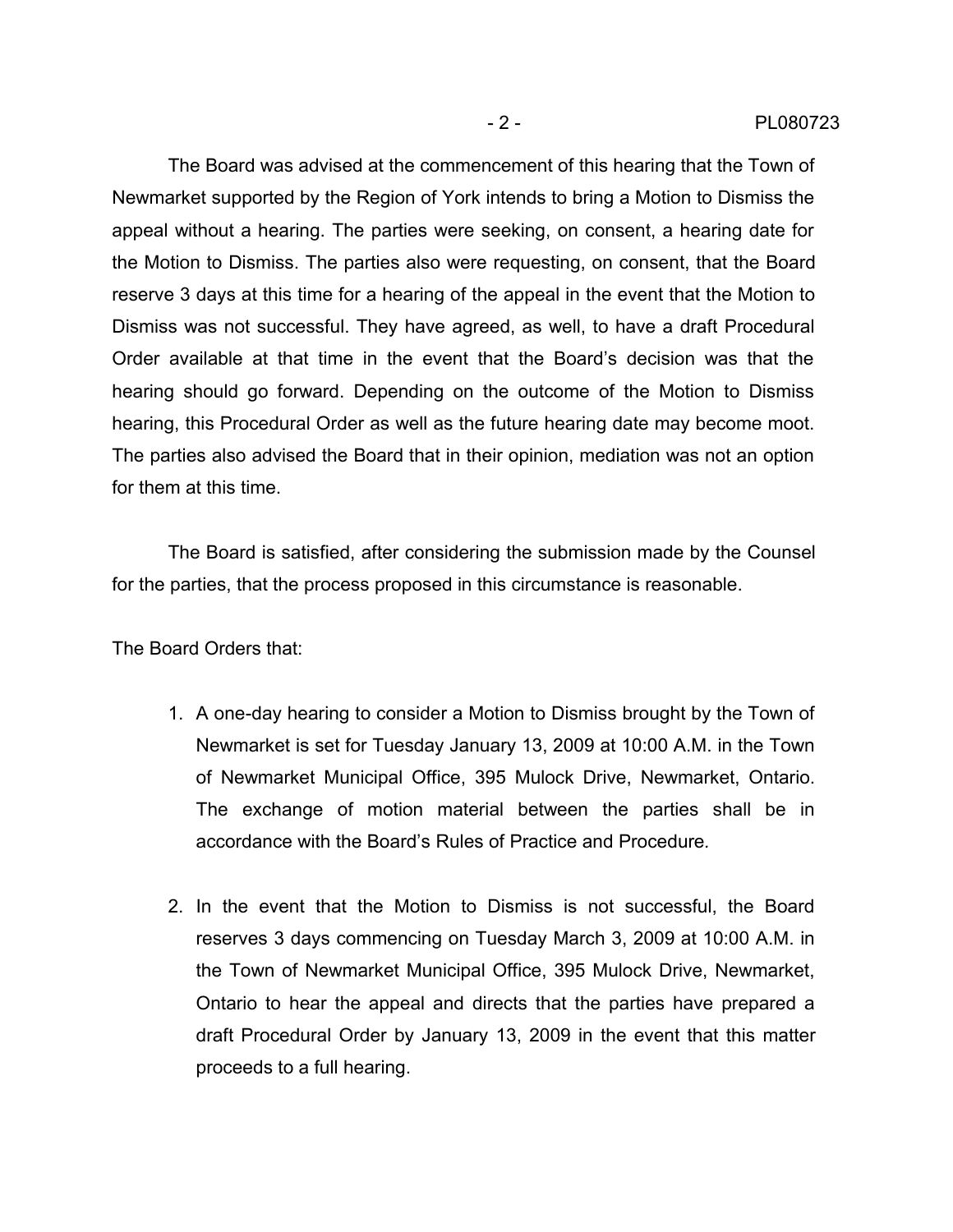The Board was advised at the commencement of this hearing that the Town of Newmarket supported by the Region of York intends to bring a Motion to Dismiss the appeal without a hearing. The parties were seeking, on consent, a hearing date for the Motion to Dismiss. The parties also were requesting, on consent, that the Board reserve 3 days at this time for a hearing of the appeal in the event that the Motion to Dismiss was not successful. They have agreed, as well, to have a draft Procedural Order available at that time in the event that the Board's decision was that the hearing should go forward. Depending on the outcome of the Motion to Dismiss hearing, this Procedural Order as well as the future hearing date may become moot. The parties also advised the Board that in their opinion, mediation was not an option for them at this time.

The Board is satisfied, after considering the submission made by the Counsel for the parties, that the process proposed in this circumstance is reasonable.

The Board Orders that:

- 1. A one-day hearing to consider a Motion to Dismiss brought by the Town of Newmarket is set for Tuesday January 13, 2009 at 10:00 A.M. in the Town of Newmarket Municipal Office, 395 Mulock Drive, Newmarket, Ontario. The exchange of motion material between the parties shall be in accordance with the Board's Rules of Practice and Procedure*.*
- 2. In the event that the Motion to Dismiss is not successful, the Board reserves 3 days commencing on Tuesday March 3, 2009 at 10:00 A.M. in the Town of Newmarket Municipal Office, 395 Mulock Drive, Newmarket, Ontario to hear the appeal and directs that the parties have prepared a draft Procedural Order by January 13, 2009 in the event that this matter proceeds to a full hearing.